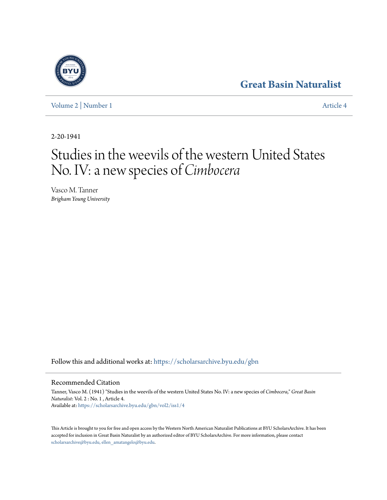# **[Great Basin Naturalist](https://scholarsarchive.byu.edu/gbn?utm_source=scholarsarchive.byu.edu%2Fgbn%2Fvol2%2Fiss1%2F4&utm_medium=PDF&utm_campaign=PDFCoverPages)**

[Volume 2](https://scholarsarchive.byu.edu/gbn/vol2?utm_source=scholarsarchive.byu.edu%2Fgbn%2Fvol2%2Fiss1%2F4&utm_medium=PDF&utm_campaign=PDFCoverPages) | [Number 1](https://scholarsarchive.byu.edu/gbn/vol2/iss1?utm_source=scholarsarchive.byu.edu%2Fgbn%2Fvol2%2Fiss1%2F4&utm_medium=PDF&utm_campaign=PDFCoverPages) [Article 4](https://scholarsarchive.byu.edu/gbn/vol2/iss1/4?utm_source=scholarsarchive.byu.edu%2Fgbn%2Fvol2%2Fiss1%2F4&utm_medium=PDF&utm_campaign=PDFCoverPages)

2-20-1941

# Studies in the weevils of the western United States No. IV: a new species of *Cimbocera*

Vasco M. Tanner *Brigham Young University*

Follow this and additional works at: [https://scholarsarchive.byu.edu/gbn](https://scholarsarchive.byu.edu/gbn?utm_source=scholarsarchive.byu.edu%2Fgbn%2Fvol2%2Fiss1%2F4&utm_medium=PDF&utm_campaign=PDFCoverPages)

### Recommended Citation

Tanner, Vasco M. (1941) "Studies in the weevils of the western United States No. IV: a new species of *Cimbocera*," *Great Basin Naturalist*: Vol. 2 : No. 1 , Article 4. Available at: [https://scholarsarchive.byu.edu/gbn/vol2/iss1/4](https://scholarsarchive.byu.edu/gbn/vol2/iss1/4?utm_source=scholarsarchive.byu.edu%2Fgbn%2Fvol2%2Fiss1%2F4&utm_medium=PDF&utm_campaign=PDFCoverPages)

This Article is brought to you for free and open access by the Western North American Naturalist Publications at BYU ScholarsArchive. It has been accepted for inclusion in Great Basin Naturalist by an authorized editor of BYU ScholarsArchive. For more information, please contact [scholarsarchive@byu.edu, ellen\\_amatangelo@byu.edu.](mailto:scholarsarchive@byu.edu,%20ellen_amatangelo@byu.edu)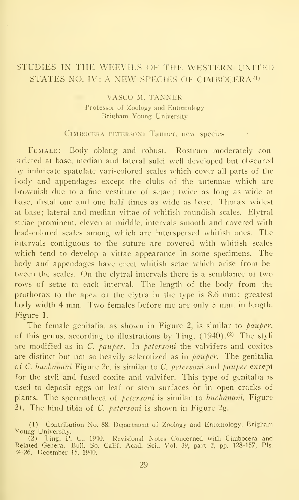## STUDIES IN THE WEEVILS OF THE WESTERN UNITED STATES NO. IV: A NEW SPECIES OF CIMBOCERA<sup>(1)</sup>

#### VASCO M. TANNER Professor of Zoology and Entomology Brigham Young University

#### CIMBOCERA PETERSON1 Taimer, new species

FEMALE: Body oblong and robust. Rostrum moderately constricted at base, median and lateral sulci well developed but obscured by imbricate spatulate vari-colored scales which cover all parts of the body and appendages except the clubs of the antennae which are brownish due to a fine vestiture of setae; twice as long as wide at base, distal one and one half times as wide as base. Thorax widest at base; lateral and median vittae of whitish roundish scales. Elytral striae prominent, eleven at middle, intervals smooth and covered with lead-colored scales among which are interspersed whitish ones. The intervals contiguous to the suture are covered with whitish scales which tend to develop a vittae appearance in some specimens. The body and appendages have erect whitish setae which arise from be tween the scales. On the elytral intervals there is a semblance of two rows of setae to each interval. The length of the body from the prothorax to the apex of the elytra in the type is 8.6 mm ; greatest body width 4 mm. Two females before me are only <sup>5</sup> mm. in length. Figure 1.

The female genitalia, as shown in Figure 2, is similar to *pauper*, of this genus, according to illustrations by Ting,  $(1940)$ .<sup>(2)</sup> The styli are modified as in C. pauper. In petersoni the valvifers and coxites are distinct but not so heavily sclerotized as in  $panper$ . The genitalia of C. buchanani Figure 2c. is similar to C. petersoni and pauper except for the styli and fused coxite and valvifer. This type of genitalia is used to deposit eggs on leaf or stem surfaces or in open cracks of plants. The spermatheca of *petersoni* is similar to buchanani, Figure 2f. The hind tibia of  $C$ . *petersoni* is shown in Figure 2g.

<sup>(1)</sup> Contribution No. 88, Department of Zoology and Entomology, Brigham Young University.

<sup>(2)</sup> Ting, P. C, 1940. Revisional Notes Concerned with Cimbocera and Related Genera. Bull. So. Calif. Acad. Sci., Vol. 39, part 2, pp. 128-157, Pis. 24-26. December 13. 1940.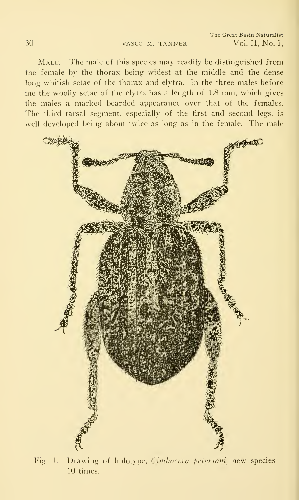The Great Basin Naturalist Vol. II, No. 1,

Male. The male of this species may readily be distinguished from the female by the thorax being widest at the middle and the dense long whitish setae of the thorax and elytra. In the three males before me the woolly setae of the elytra has <sup>a</sup> length of 1.8 mm, which gives the males a marked bearded appearance over that of the females. The third tarsal segment, especially of the first and second legs, is well developed being about twice as long as in the female. The male



Fig. 1. Drawing of holotype, Cimbocera petersoni, new species 10 times.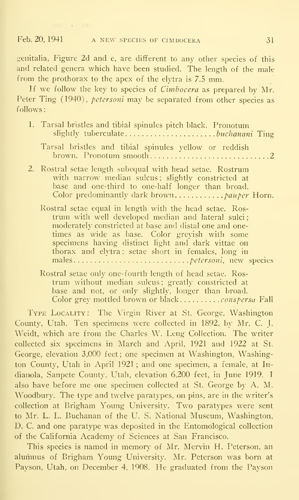genitalia, Figure 2d and e, are different to any other species of this and related genera which have been studied. The length of the male from the prothorax to the apex of the elytra is 7.5 mm.

If we follow the key to species of  $Cimbocera$  as prepared by Mr. Peter Ting (1940), *petersoni* may be separated from other species as follows:

| 1. Tarsal bristles and tibial spinules pitch black. Pronotum<br>slightly tuberculatebuchanani Ting                                                                                                                                                                                                                                    |
|---------------------------------------------------------------------------------------------------------------------------------------------------------------------------------------------------------------------------------------------------------------------------------------------------------------------------------------|
| Tarsal bristles and tibial spinules yellow or reddish                                                                                                                                                                                                                                                                                 |
| 2. Rostral setae length subequal with head setae. Rostrum<br>with narrow median sulcus; slightly constricted at<br>base and one-third to one-half longer than broad.                                                                                                                                                                  |
| Rostral setae equal in length with the head setae. Ros-<br>trum with well developed median and lateral sulci;<br>moderately constricted at base and distal one and one-<br>times as wide as base. Color greyish with some<br>specimens having distinct light and dark vittae on<br>thorax and elvtra; setae short in females, long in |
| Rostral setae only one-fourth length of head setae. Ros-<br>turns without modian culouse quantly constructed at                                                                                                                                                                                                                       |

trum without median sulcus ; greatly constricted at base and not, or only slightly, longer than broad. Color grey mottled brown or black............*conspersa* Fall

Type Locality : The Virgin River at St. George, Washington County, Utah. Ten specimens were collected in 1892. by Mr. C. J. Weidt, which are from the Charles W. Leng Collection. The writer collected six specimens in March and April, 1921 and 1922 at St. George, elevation 3,000 feet ; one specimen at Washington, Washington County, Utah in April 1921 ; and one specimen, a female, at Indianola, Sanpete County, Utah, elevation 6,200 feet, in June 1919. <sup>I</sup> also have before me one specimen collected at St. George by A. Al. Woodbury. The type and twelve paratypes, on pins, are in the writer's collection at Brigham Young University. Two paratypes were sent to Mr. L. L. Buchanan of the U. S. National Museum, Washington, D. C. and one paratype was deposited in the Entomological collection of the California Academy of Sciences at San Francisco.

This species is named in memory of Mr. Mervin H. Peterson, an alumnus of Brigham Young University. Mr. Peterson was born at Payson, Utah, on December 4, 1908. He graduated from the Payson